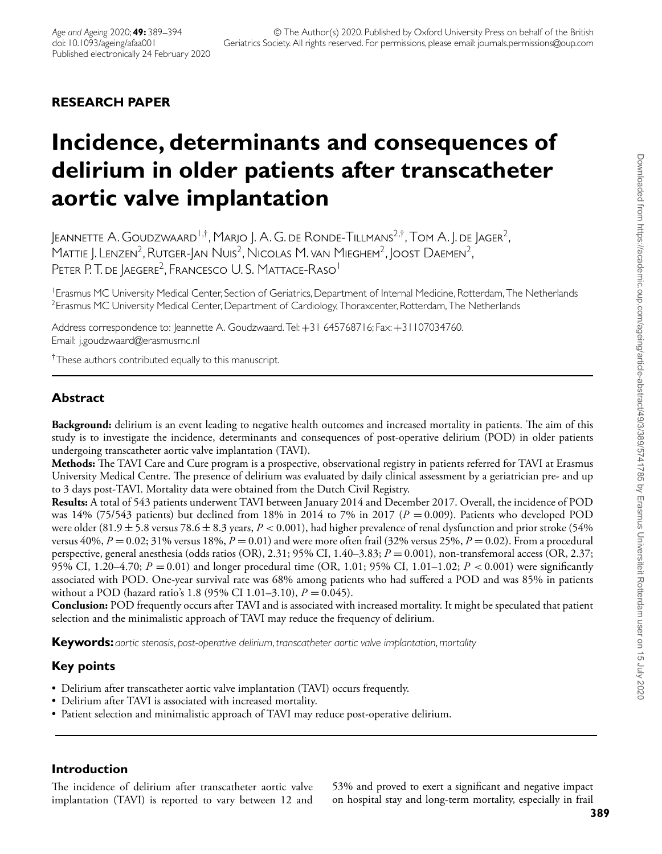# **RESEARCH PAPER**

# **Incidence, determinants and consequences of delirium in older patients after transcatheter aortic valve implantation**

Jeannette A. Goudzwaard <sup>i ,†</sup>, Marjo J. A. G. de Ronde-Tillmans<sup>2,†</sup>, Tom A. J. de Jager<sup>2</sup>, MATTIE J. LENZEN<sup>2</sup>, RUTGER-JAN NUIS<sup>2</sup>, NICOLAS M. VAN MIEGHEM<sup>2</sup>, JOOST DAEMEN<sup>2</sup>, PETER P. T. DE JAEGERE<sup>2</sup>, FRANCESCO U. S. MATTACE-RASO<sup>1</sup>

<sup>1</sup> Erasmus MC University Medical Center, Section of Geriatrics, Department of Internal Medicine, Rotterdam, The Netherlands <sup>2</sup> Erasmus MC University Medical Center, Department of Cardiology, Thoraxcenter, Rotterdam, The Netherlands

Address correspondence to: Jeannette A. Goudzwaard. Tel:+31 645768716; Fax:+31107034760. Email: j.goudzwaard@erasmusmc.nl

†These authors contributed equally to this manuscript.

# **Abstract**

**Background:** delirium is an event leading to negative health outcomes and increased mortality in patients. The aim of this study is to investigate the incidence, determinants and consequences of post-operative delirium (POD) in older patients undergoing transcatheter aortic valve implantation (TAVI).

**Methods:** The TAVI Care and Cure program is a prospective, observational registry in patients referred for TAVI at Erasmus University Medical Centre. The presence of delirium was evaluated by daily clinical assessment by a geriatrician pre- and up to 3 days post-TAVI. Mortality data were obtained from the Dutch Civil Registry.

**Results:** A total of 543 patients underwent TAVI between January 2014 and December 2017. Overall, the incidence of POD was 14% (75/543 patients) but declined from 18% in 2014 to 7% in 2017 (*P* = 0.009). Patients who developed POD were older (81.9 ± 5.8 versus 78.6 ± 8.3 years, *P <* 0.001), had higher prevalence of renal dysfunction and prior stroke (54% versus  $40\%, P = 0.02; 31\%$  versus  $18\%, P = 0.01$ ) and were more often frail (32% versus 25%,  $P = 0.02$ ). From a procedural perspective, general anesthesia (odds ratios (OR), 2.31; 95% CI, 1.40–3.83; *P* = 0.001), non-transfemoral access (OR, 2.37; 95% CI, 1.20–4.70; *P* = 0.01) and longer procedural time (OR, 1.01; 95% CI, 1.01–1.02; *P <* 0.001) were significantly associated with POD. One-year survival rate was 68% among patients who had suffered a POD and was 85% in patients without a POD (hazard ratio's 1.8 (95% CI 1.01–3.10), *P* = 0.045).

**Conclusion:** POD frequently occurs after TAVI and is associated with increased mortality. It might be speculated that patient selection and the minimalistic approach of TAVI may reduce the frequency of delirium.

**Keywords:** *aortic stenosis*, *post-operative delirium*, *transcatheter aortic valve implantation*, *mortality*

# **Key points**

- Delirium after transcatheter aortic valve implantation (TAVI) occurs frequently.
- Delirium after TAVI is associated with increased mortality.
- Patient selection and minimalistic approach of TAVI may reduce post-operative delirium.

# **Introduction**

The incidence of delirium after transcatheter aortic valve implantation (TAVI) is reported to vary between 12 and 53% and proved to exert a significant and negative impact on hospital stay and long-term mortality, especially in frail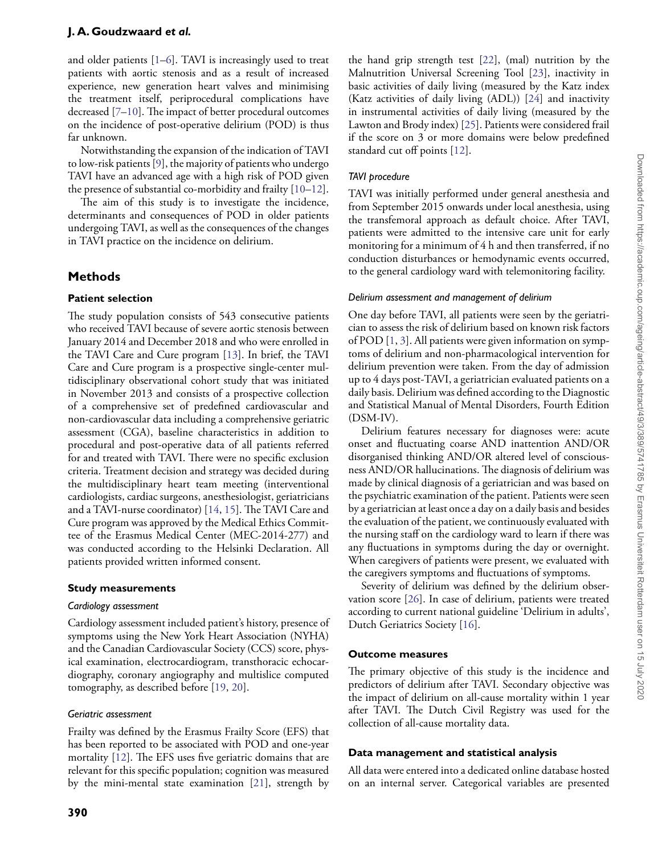and older patients [\[1](#page-4-0)[–6\]](#page-4-1). TAVI is increasingly used to treat patients with aortic stenosis and as a result of increased experience, new generation heart valves and minimising the treatment itself, periprocedural complications have decreased [\[7](#page-4-2)[–10\]](#page-5-0). The impact of better procedural outcomes on the incidence of post-operative delirium (POD) is thus far unknown.

Notwithstanding the expansion of the indication of TAVI to low-risk patients [\[9\]](#page-5-1), the majority of patients who undergo TAVI have an advanced age with a high risk of POD given the presence of substantial co-morbidity and frailty [\[10–](#page-5-0)[12\]](#page-5-2).

The aim of this study is to investigate the incidence, determinants and consequences of POD in older patients undergoing TAVI, as well as the consequences of the changes in TAVI practice on the incidence on delirium.

## **Methods**

## **Patient selection**

The study population consists of 543 consecutive patients who received TAVI because of severe aortic stenosis between January 2014 and December 2018 and who were enrolled in the TAVI Care and Cure program [\[13\]](#page-5-3). In brief, the TAVI Care and Cure program is a prospective single-center multidisciplinary observational cohort study that was initiated in November 2013 and consists of a prospective collection of a comprehensive set of predefined cardiovascular and non-cardiovascular data including a comprehensive geriatric assessment (CGA), baseline characteristics in addition to procedural and post-operative data of all patients referred for and treated with TAVI. There were no specific exclusion criteria. Treatment decision and strategy was decided during the multidisciplinary heart team meeting (interventional cardiologists, cardiac surgeons, anesthesiologist, geriatricians and a TAVI-nurse coordinator) [\[14,](#page-5-4) [15\]](#page-5-5). The TAVI Care and Cure program was approved by the Medical Ethics Committee of the Erasmus Medical Center (MEC-2014-277) and was conducted according to the Helsinki Declaration. All patients provided written informed consent.

## **Study measurements**

#### *Cardiology assessment*

Cardiology assessment included patient's history, presence of symptoms using the New York Heart Association (NYHA) and the Canadian Cardiovascular Society (CCS) score, physical examination, electrocardiogram, transthoracic echocardiography, coronary angiography and multislice computed tomography, as described before [\[19,](#page-5-6) [20\]](#page-5-7).

## *Geriatric assessment*

Frailty was defined by the Erasmus Frailty Score (EFS) that has been reported to be associated with POD and one-year mortality [\[12\]](#page-5-2). The EFS uses five geriatric domains that are relevant for this specific population; cognition was measured by the mini-mental state examination [\[21\]](#page-5-8), strength by

the hand grip strength test [\[22\]](#page-5-9), (mal) nutrition by the Malnutrition Universal Screening Tool [\[23\]](#page-5-10), inactivity in basic activities of daily living (measured by the Katz index (Katz activities of daily living (ADL)) [\[24\]](#page-5-11) and inactivity in instrumental activities of daily living (measured by the Lawton and Brody index) [\[25\]](#page-5-12). Patients were considered frail if the score on 3 or more domains were below predefined standard cut off points [\[12\]](#page-5-2).

## *TAVI procedure*

TAVI was initially performed under general anesthesia and from September 2015 onwards under local anesthesia, using the transfemoral approach as default choice. After TAVI, patients were admitted to the intensive care unit for early monitoring for a minimum of 4 h and then transferred, if no conduction disturbances or hemodynamic events occurred, to the general cardiology ward with telemonitoring facility.

#### *Delirium assessment and management of delirium*

One day before TAVI, all patients were seen by the geriatrician to assess the risk of delirium based on known risk factors of POD [\[1,](#page-4-0) [3\]](#page-4-3). All patients were given information on symptoms of delirium and non-pharmacological intervention for delirium prevention were taken. From the day of admission up to 4 days post-TAVI, a geriatrician evaluated patients on a daily basis. Delirium was defined according to the Diagnostic and Statistical Manual of Mental Disorders, Fourth Edition (DSM-IV).

Delirium features necessary for diagnoses were: acute onset and fluctuating coarse AND inattention AND/OR disorganised thinking AND/OR altered level of consciousness AND/OR hallucinations. The diagnosis of delirium was made by clinical diagnosis of a geriatrician and was based on the psychiatric examination of the patient. Patients were seen by a geriatrician at least once a day on a daily basis and besides the evaluation of the patient, we continuously evaluated with the nursing staff on the cardiology ward to learn if there was any fluctuations in symptoms during the day or overnight. When caregivers of patients were present, we evaluated with the caregivers symptoms and fluctuations of symptoms.

Severity of delirium was defined by the delirium observation score [\[26\]](#page-5-13). In case of delirium, patients were treated according to current national guideline 'Delirium in adults', Dutch Geriatrics Society [\[16\]](#page-5-14).

## **Outcome measures**

The primary objective of this study is the incidence and predictors of delirium after TAVI. Secondary objective was the impact of delirium on all-cause mortality within 1 year after TAVI. The Dutch Civil Registry was used for the collection of all-cause mortality data.

## **Data management and statistical analysis**

All data were entered into a dedicated online database hosted on an internal server. Categorical variables are presented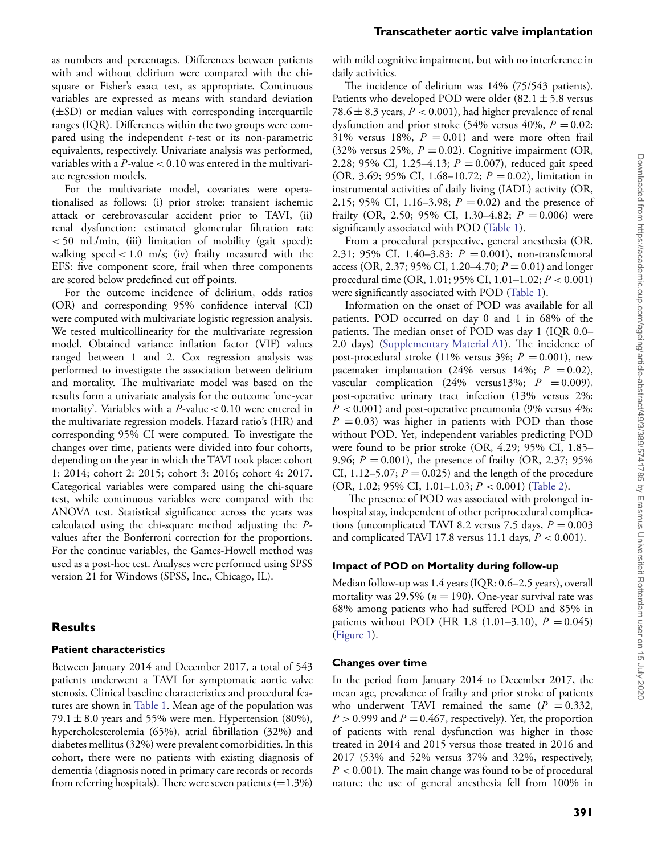#### **Transcatheter aortic valve implantation**

as numbers and percentages. Differences between patients with and without delirium were compared with the chisquare or Fisher's exact test, as appropriate. Continuous variables are expressed as means with standard deviation (±SD) or median values with corresponding interquartile ranges (IQR). Differences within the two groups were compared using the independent *t*-test or its non-parametric equivalents, respectively. Univariate analysis was performed, variables with a *P*-value *<* 0.10 was entered in the multivariate regression models.

For the multivariate model, covariates were operationalised as follows: (i) prior stroke: transient ischemic attack or cerebrovascular accident prior to TAVI, (ii) renal dysfunction: estimated glomerular filtration rate *<* 50 mL/min, (iii) limitation of mobility (gait speed): walking speed *<* 1.0 m/s; (iv) frailty measured with the EFS: five component score, frail when three components are scored below predefined cut off points.

For the outcome incidence of delirium, odds ratios (OR) and corresponding 95% confidence interval (CI) were computed with multivariate logistic regression analysis. We tested multicollinearity for the multivariate regression model. Obtained variance inflation factor (VIF) values ranged between 1 and 2. Cox regression analysis was performed to investigate the association between delirium and mortality. The multivariate model was based on the results form a univariate analysis for the outcome 'one-year mortality'. Variables with a *P*-value *<* 0.10 were entered in the multivariate regression models. Hazard ratio's (HR) and corresponding 95% CI were computed. To investigate the changes over time, patients were divided into four cohorts, depending on the year in which the TAVI took place: cohort 1: 2014; cohort 2: 2015; cohort 3: 2016; cohort 4: 2017. Categorical variables were compared using the chi-square test, while continuous variables were compared with the ANOVA test. Statistical significance across the years was calculated using the chi-square method adjusting the *P*values after the Bonferroni correction for the proportions. For the continue variables, the Games-Howell method was used as a post-hoc test. Analyses were performed using SPSS version 21 for Windows (SPSS, Inc., Chicago, IL).

#### **Results**

#### **Patient characteristics**

Between January 2014 and December 2017, a total of 543 patients underwent a TAVI for symptomatic aortic valve stenosis. Clinical baseline characteristics and procedural features are shown in [Table 1.](#page-3-0) Mean age of the population was 79.1  $\pm$  8.0 years and 55% were men. Hypertension (80%), hypercholesterolemia (65%), atrial fibrillation (32%) and diabetes mellitus (32%) were prevalent comorbidities. In this cohort, there were no patients with existing diagnosis of dementia (diagnosis noted in primary care records or records from referring hospitals). There were seven patients  $(=1.3\%)$ 

with mild cognitive impairment, but with no interference in daily activities.

The incidence of delirium was 14% (75/543 patients). Patients who developed POD were older  $(82.1 \pm 5.8 \text{ versus}$ 78.6  $\pm$  8.3 years,  $P < 0.001$ ), had higher prevalence of renal dysfunction and prior stroke  $(54\%$  versus  $40\%$ ,  $P = 0.02$ ;  $31\%$  versus  $18\%$ ,  $P = 0.01$ ) and were more often frail (32% versus 25%,  $P = 0.02$ ). Cognitive impairment (OR, 2.28; 95% CI, 1.25–4.13; *P* = 0.007), reduced gait speed (OR, 3.69; 95% CI, 1.68–10.72; *P* = 0.02), limitation in instrumental activities of daily living (IADL) activity (OR, 2.15; 95% CI, 1.16–3.98;  $P = 0.02$ ) and the presence of frailty (OR, 2.50; 95% CI, 1.30–4.82;  $P = 0.006$ ) were significantly associated with POD [\(Table 1\)](#page-3-0).

From a procedural perspective, general anesthesia (OR, 2.31; 95% CI, 1.40–3.83; *P* = 0.001), non-transfemoral access (OR, 2.37; 95% CI, 1.20–4.70;  $P = 0.01$ ) and longer procedural time (OR, 1.01; 95% CI, 1.01–1.02; *P <* 0.001) were significantly associated with POD [\(Table 1\)](#page-3-0).

Information on the onset of POD was available for all patients. POD occurred on day 0 and 1 in 68% of the patients. The median onset of POD was day 1 (IQR 0.0– 2.0 days) [\(Supplementary Material A1\)](#page-3-1). The incidence of post-procedural stroke (11% versus  $3\%$ ;  $P = 0.001$ ), new pacemaker implantation (24% versus 14%;  $P = 0.02$ ), vascular complication (24% versus13%;  $P = 0.009$ ), post-operative urinary tract infection (13% versus 2%;  $P < 0.001$ ) and post-operative pneumonia (9% versus 4%;  $P = 0.03$ ) was higher in patients with POD than those without POD. Yet, independent variables predicting POD were found to be prior stroke (OR, 4.29; 95% CI, 1.85– 9.96;  $P = 0.001$ , the presence of frailty (OR, 2.37; 95%) CI, 1.12–5.07;  $P = 0.025$ ) and the length of the procedure (OR, 1.02; 95% CI, 1.01–1.03; *P <* 0.001) [\(Table 2\)](#page-3-2).

The presence of POD was associated with prolonged inhospital stay, independent of other periprocedural complications (uncomplicated TAVI 8.2 versus 7.5 days,  $P = 0.003$ and complicated TAVI 17.8 versus 11.1 days, *P <* 0.001).

#### **Impact of POD on Mortality during follow-up**

Median follow-up was 1.4 years (IQR: 0.6–2.5 years), overall mortality was 29.5% ( $n = 190$ ). One-year survival rate was 68% among patients who had suffered POD and 85% in patients without POD (HR 1.8  $(1.01-3.10)$ ,  $P = 0.045$ ) (Figure 1).

#### **Changes over time**

In the period from January 2014 to December 2017, the mean age, prevalence of frailty and prior stroke of patients who underwent TAVI remained the same  $(P = 0.332,$  $P > 0.999$  and  $P = 0.467$ , respectively). Yet, the proportion of patients with renal dysfunction was higher in those treated in 2014 and 2015 versus those treated in 2016 and 2017 (53% and 52% versus 37% and 32%, respectively, *P <* 0.001). The main change was found to be of procedural nature; the use of general anesthesia fell from 100% in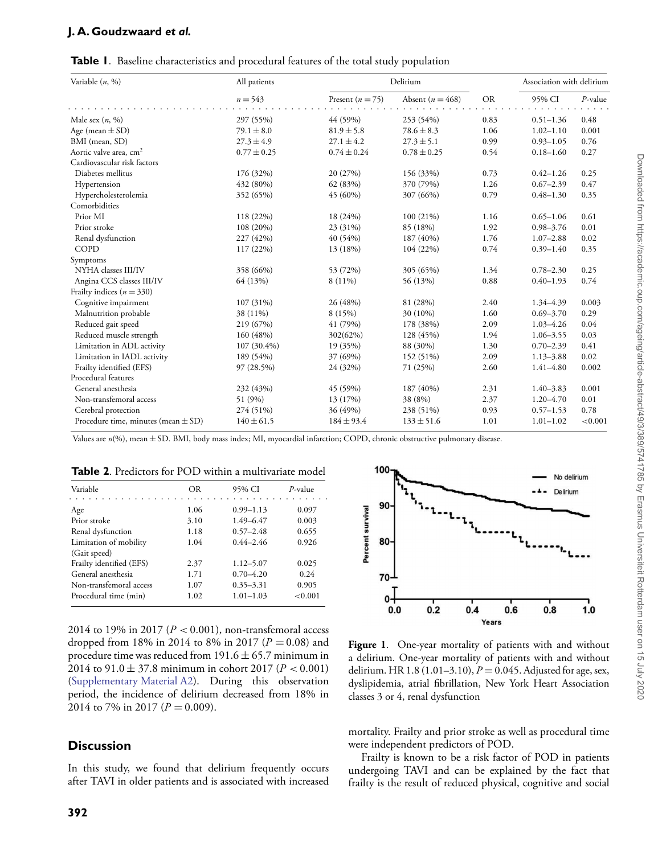## **J. A. Goudzwaard** *et al.*

| Variable $(n, %)$                       | All patients<br>$n = 543$ | Delirium           |                      |           | Association with delirium |            |
|-----------------------------------------|---------------------------|--------------------|----------------------|-----------|---------------------------|------------|
|                                         |                           | Present $(n = 75)$ | Absent ( $n = 468$ ) | <b>OR</b> | 95% CI                    | $P$ -value |
| Male sex $(n, \%)$                      | 297 (55%)                 | 44 (59%)           | 253 (54%)            | 0.83      | $0.51 - 1.36$             | 0.48       |
| Age (mean $\pm$ SD)                     | $79.1 \pm 8.0$            | $81.9 \pm 5.8$     | $78.6 \pm 8.3$       | 1.06      | $1.02 - 1.10$             | 0.001      |
| BMI (mean, SD)                          | $27.3 \pm 4.9$            | $27.1 \pm 4.2$     | $27.3 \pm 5.1$       | 0.99      | $0.93 - 1.05$             | 0.76       |
| Aortic valve area, cm <sup>2</sup>      | $0.77 \pm 0.25$           | $0.74 \pm 0.24$    | $0.78 \pm 0.25$      | 0.54      | $0.18 - 1.60$             | 0.27       |
| Cardiovascular risk factors             |                           |                    |                      |           |                           |            |
| Diabetes mellitus                       | 176 (32%)                 | 20 (27%)           | 156 (33%)            | 0.73      | $0.42 - 1.26$             | 0.25       |
| Hypertension                            | 432 (80%)                 | 62 (83%)           | 370 (79%)            | 1.26      | $0.67 - 2.39$             | 0.47       |
| Hypercholesterolemia                    | 352 (65%)                 | 45 (60%)           | 307 (66%)            | 0.79      | $0.48 - 1.30$             | 0.35       |
| Comorbidities                           |                           |                    |                      |           |                           |            |
| Prior MI                                | 118 (22%)                 | 18 (24%)           | 100(21%)             | 1.16      | $0.65 - 1.06$             | 0.61       |
| Prior stroke                            | 108 (20%)                 | 23 (31%)           | 85 (18%)             | 1.92      | $0.98 - 3.76$             | 0.01       |
| Renal dysfunction                       | 227 (42%)                 | 40 (54%)           | 187 (40%)            | 1.76      | $1.07 - 2.88$             | 0.02       |
| COPD                                    | 117 (22%)                 | 13 (18%)           | 104 (22%)            | 0.74      | $0.39 - 1.40$             | 0.35       |
| Symptoms                                |                           |                    |                      |           |                           |            |
| NYHA classes III/IV                     | 358 (66%)                 | 53 (72%)           | 305 (65%)            | 1.34      | $0.78 - 2.30$             | 0.25       |
| Angina CCS classes III/IV               | 64 (13%)                  | $8(11\%)$          | 56 (13%)             | 0.88      | $0.40 - 1.93$             | 0.74       |
| Frailty indices $(n = 330)$             |                           |                    |                      |           |                           |            |
| Cognitive impairment                    | 107 (31%)                 | 26 (48%)           | 81 (28%)             | 2.40      | 1.34-4.39                 | 0.003      |
| Malnutrition probable                   | 38 (11%)                  | 8 (15%)            | 30 (10%)             | 1.60      | $0.69 - 3.70$             | 0.29       |
| Reduced gait speed                      | 219 (67%)                 | 41 (79%)           | 178 (38%)            | 2.09      | $1.03 - 4.26$             | 0.04       |
| Reduced muscle strength                 | 160 (48%)                 | 302(62%)           | 128 (45%)            | 1.94      | $1.06 - 3.55$             | 0.03       |
| Limitation in ADL activity              | 107 (30.4%)               | 19 (35%)           | 88 (30%)             | 1.30      | $0.70 - 2.39$             | 0.41       |
| Limitation in IADL activity             | 189 (54%)                 | 37 (69%)           | 152 (51%)            | 2.09      | $1.13 - 3.88$             | 0.02       |
| Frailty identified (EFS)                | 97 (28.5%)                | 24 (32%)           | 71 (25%)             | 2.60      | $1.41 - 4.80$             | 0.002      |
| Procedural features                     |                           |                    |                      |           |                           |            |
| General anesthesia                      | 232 (43%)                 | 45 (59%)           | 187 (40%)            | 2.31      | $1.40 - 3.83$             | 0.001      |
| Non-transfemoral access                 | 51 (9%)                   | 13 (17%)           | 38 (8%)              | 2.37      | $1.20 - 4.70$             | 0.01       |
| Cerebral protection                     | 274 (51%)                 | 36 (49%)           | 238 (51%)            | 0.93      | $0.57 - 1.53$             | 0.78       |
| Procedure time, minutes (mean $\pm$ SD) | $140 \pm 61.5$            | $184 \pm 93.4$     | $133 \pm 51.6$       | 1.01      | $1.01 - 1.02$             | < 0.001    |

<span id="page-3-0"></span>

Values are *n*(%), mean ± SD. BMI, body mass index; MI, myocardial infarction; COPD, chronic obstructive pulmonary disease.

<span id="page-3-2"></span>

| Table 2. Predictors for POD within a multivariate model |
|---------------------------------------------------------|
|---------------------------------------------------------|

| Variable                 | OR   | 95% CI        | $P$ -value |
|--------------------------|------|---------------|------------|
| Age                      | 1.06 | $0.99 - 1.13$ | 0.097      |
| Prior stroke             | 3.10 | 1.49-6.47     | 0.003      |
| Renal dysfunction        | 1.18 | $0.57 - 2.48$ | 0.655      |
| Limitation of mobility   | 1.04 | $0.44 - 2.46$ | 0.926      |
| (Gait speed)             |      |               |            |
| Frailty identified (EFS) | 2.37 | $1.12 - 5.07$ | 0.025      |
| General anesthesia       | 1.71 | $0.70 - 4.20$ | 0.24       |
| Non-transfemoral access  | 1.07 | $0.35 - 3.31$ | 0.905      |
| Procedural time (min)    | 1.02 | $1.01 - 1.03$ | < 0.001    |

2014 to 19% in 2017 (*P <* 0.001), non-transfemoral access dropped from 18% in 2014 to 8% in 2017 ( $P = 0.08$ ) and procedure time was reduced from  $191.6 \pm 65.7$  minimum in 2014 to 91.0 ± 37.8 minimum in cohort 2017 (*P <* 0.001) (Supplementary Material A2). During this observation period, the incidence of delirium decreased from 18% in 2014 to 7% in 2017 ( $P = 0.009$ ).

## **Discussion**

In this study, we found that delirium frequently occurs after TAVI in older patients and is associated with increased



<span id="page-3-1"></span>**Figure 1**. One-year mortality of patients with and without a delirium. One-year mortality of patients with and without delirium. HR 1.8 (1.01–3.10), *P* = 0.045. Adjusted for age, sex, dyslipidemia, atrial fibrillation, New York Heart Association classes 3 or 4, renal dysfunction

mortality. Frailty and prior stroke as well as procedural time were independent predictors of POD.

Frailty is known to be a risk factor of POD in patients undergoing TAVI and can be explained by the fact that frailty is the result of reduced physical, cognitive and social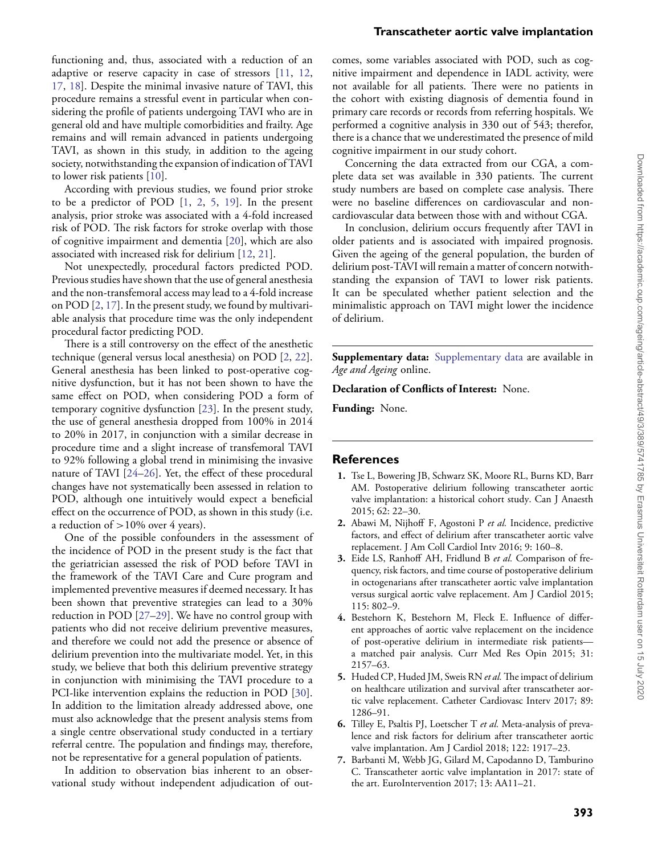#### **Transcatheter aortic valve implantation**

functioning and, thus, associated with a reduction of an adaptive or reserve capacity in case of stressors [\[11,](#page-5-15) [12,](#page-5-2) [17,](#page-5-16) [18\]](#page-5-17). Despite the minimal invasive nature of TAVI, this procedure remains a stressful event in particular when considering the profile of patients undergoing TAVI who are in general old and have multiple comorbidities and frailty. Age remains and will remain advanced in patients undergoing TAVI, as shown in this study, in addition to the ageing society, notwithstanding the expansion of indication of TAVI to lower risk patients [\[10\]](#page-5-0).

According with previous studies, we found prior stroke to be a predictor of POD [\[1,](#page-4-0) [2,](#page-4-4) [5,](#page-4-5) [19\]](#page-5-6). In the present analysis, prior stroke was associated with a 4-fold increased risk of POD. The risk factors for stroke overlap with those of cognitive impairment and dementia [\[20\]](#page-5-7), which are also associated with increased risk for delirium [\[12,](#page-5-2) [21\]](#page-5-8).

Not unexpectedly, procedural factors predicted POD. Previous studies have shown that the use of general anesthesia and the non-transfemoral access may lead to a 4-fold increase on POD [\[2,](#page-4-4) [17\]](#page-5-16). In the present study, we found by multivariable analysis that procedure time was the only independent procedural factor predicting POD.

There is a still controversy on the effect of the anesthetic technique (general versus local anesthesia) on POD [\[2,](#page-4-4) [22\]](#page-5-9). General anesthesia has been linked to post-operative cognitive dysfunction, but it has not been shown to have the same effect on POD, when considering POD a form of temporary cognitive dysfunction [\[23\]](#page-5-10). In the present study, the use of general anesthesia dropped from 100% in 2014 to 20% in 2017, in conjunction with a similar decrease in procedure time and a slight increase of transfemoral TAVI to 92% following a global trend in minimising the invasive nature of TAVI [\[24–](#page-5-11)[26\]](#page-5-13). Yet, the effect of these procedural changes have not systematically been assessed in relation to POD, although one intuitively would expect a beneficial effect on the occurrence of POD, as shown in this study (i.e. a reduction of *>*10% over 4 years).

One of the possible confounders in the assessment of the incidence of POD in the present study is the fact that the geriatrician assessed the risk of POD before TAVI in the framework of the TAVI Care and Cure program and implemented preventive measures if deemed necessary. It has been shown that preventive strategies can lead to a 30% reduction in POD [\[27–](#page-5-18)[29\]](#page-5-19). We have no control group with patients who did not receive delirium preventive measures, and therefore we could not add the presence or absence of delirium prevention into the multivariate model. Yet, in this study, we believe that both this delirium preventive strategy in conjunction with minimising the TAVI procedure to a PCI-like intervention explains the reduction in POD [\[30\]](#page-5-20). In addition to the limitation already addressed above, one must also acknowledge that the present analysis stems from a single centre observational study conducted in a tertiary referral centre. The population and findings may, therefore, not be representative for a general population of patients.

In addition to observation bias inherent to an observational study without independent adjudication of outcomes, some variables associated with POD, such as cognitive impairment and dependence in IADL activity, were not available for all patients. There were no patients in the cohort with existing diagnosis of dementia found in primary care records or records from referring hospitals. We performed a cognitive analysis in 330 out of 543; therefor, there is a chance that we underestimated the presence of mild cognitive impairment in our study cohort.

Concerning the data extracted from our CGA, a complete data set was available in 330 patients. The current study numbers are based on complete case analysis. There were no baseline differences on cardiovascular and noncardiovascular data between those with and without CGA.

In conclusion, delirium occurs frequently after TAVI in older patients and is associated with impaired prognosis. Given the ageing of the general population, the burden of delirium post-TAVI will remain a matter of concern notwithstanding the expansion of TAVI to lower risk patients. It can be speculated whether patient selection and the minimalistic approach on TAVI might lower the incidence of delirium.

**Supplementary data:** [Supplementary data](https://academic.oup.com/ageing/article-lookup/doi/10.1093/ageing/afaa001#supplementary-data) are available in *Age and Ageing* online.

**Declaration of Conflicts of Interest:** None.

**Funding:** None.

#### **References**

- <span id="page-4-0"></span>**1.** Tse L, Bowering JB, Schwarz SK, Moore RL, Burns KD, Barr AM. Postoperative delirium following transcatheter aortic valve implantation: a historical cohort study. Can J Anaesth 2015; 62: 22–30.
- <span id="page-4-4"></span>**2.** Abawi M, Nijhoff F, Agostoni P *et al.* Incidence, predictive factors, and effect of delirium after transcatheter aortic valve replacement. J Am Coll Cardiol Intv 2016; 9: 160–8.
- <span id="page-4-3"></span>**3.** Eide LS, Ranhoff AH, Fridlund B *et al.* Comparison of frequency, risk factors, and time course of postoperative delirium in octogenarians after transcatheter aortic valve implantation versus surgical aortic valve replacement. Am J Cardiol 2015; 115: 802–9.
- **4.** Bestehorn K, Bestehorn M, Fleck E. Influence of different approaches of aortic valve replacement on the incidence of post-operative delirium in intermediate risk patients a matched pair analysis. Curr Med Res Opin 2015; 31: 2157–63.
- <span id="page-4-5"></span>**5.** Huded CP, Huded JM, Sweis RN *et al.*The impact of delirium on healthcare utilization and survival after transcatheter aortic valve replacement. Catheter Cardiovasc Interv 2017; 89: 1286–91.
- <span id="page-4-1"></span>**6.** Tilley E, Psaltis PJ, Loetscher T *et al.* Meta-analysis of prevalence and risk factors for delirium after transcatheter aortic valve implantation. Am J Cardiol 2018; 122: 1917–23.
- <span id="page-4-2"></span>**7.** Barbanti M, Webb JG, Gilard M, Capodanno D, Tamburino C. Transcatheter aortic valve implantation in 2017: state of the art. EuroIntervention 2017; 13: AA11–21.